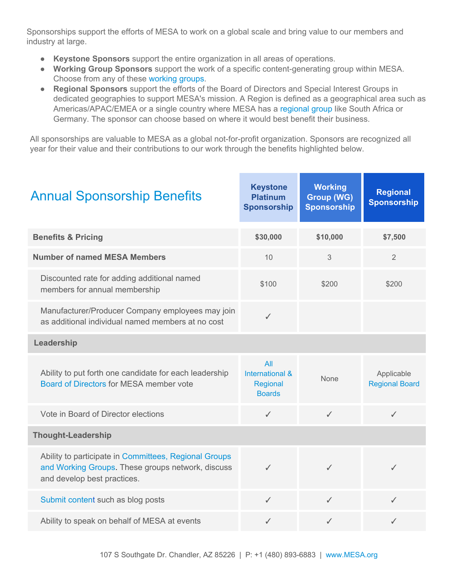Sponsorships support the efforts of MESA to work on a global scale and bring value to our members and industry at large.

- **Keystone Sponsors** support the entire organization in all areas of operations.
- **Working Group Sponsors** support the work of a specific content-generating group within MESA. Choose from any of these [working groups](http://www.mesa.org/en/committeeactivities/knowledgecommittee.asp?_mid_=36821).
- **Regional Sponsors** support the efforts of the Board of Directors and Special Interest Groups in dedicated geographies to support MESA's mission. A Region is defined as a geographical area such as Americas/APAC/EMEA or a single country where MESA has a [regional group](http://www.mesa.org/en/regionalgroups/regionalgroups.asp) like South Africa or Germany. The sponsor can choose based on where it would best benefit their business.

All sponsorships are valuable to MESA as a global not-for-profit organization. Sponsors are recognized all year for their value and their contributions to our work through the benefits highlighted below.

| <b>Annual Sponsorship Benefits</b>                                                                                                        | <b>Keystone</b><br><b>Platinum</b><br><b>Sponsorship</b> | <b>Working</b><br><b>Group (WG)</b><br><b>Sponsorship</b> | <b>Regional</b><br><b>Sponsorship</b> |
|-------------------------------------------------------------------------------------------------------------------------------------------|----------------------------------------------------------|-----------------------------------------------------------|---------------------------------------|
| <b>Benefits &amp; Pricing</b>                                                                                                             | \$30,000                                                 | \$10,000                                                  | \$7,500                               |
| <b>Number of named MESA Members</b>                                                                                                       | 10                                                       | 3                                                         | $\overline{2}$                        |
| Discounted rate for adding additional named<br>members for annual membership                                                              | \$100                                                    | \$200                                                     | \$200                                 |
| Manufacturer/Producer Company employees may join<br>as additional individual named members at no cost                                     | $\checkmark$                                             |                                                           |                                       |
| Leadership                                                                                                                                |                                                          |                                                           |                                       |
| Ability to put forth one candidate for each leadership<br>Board of Directors for MESA member vote                                         | All<br>International &<br>Regional<br><b>Boards</b>      | <b>None</b>                                               | Applicable<br><b>Regional Board</b>   |
| Vote in Board of Director elections                                                                                                       | $\checkmark$                                             | $\checkmark$                                              | ✓                                     |
| <b>Thought-Leadership</b>                                                                                                                 |                                                          |                                                           |                                       |
| Ability to participate in Committees, Regional Groups<br>and Working Groups. These groups network, discuss<br>and develop best practices. | $\checkmark$                                             | ✓                                                         | ✓                                     |
| Submit content such as blog posts                                                                                                         | ✓                                                        | $\checkmark$                                              | $\checkmark$                          |
| Ability to speak on behalf of MESA at events                                                                                              | $\checkmark$                                             | ✓                                                         | ✓                                     |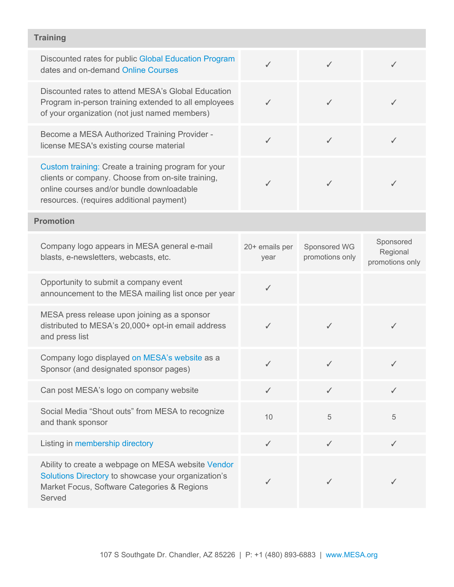## **Training**

| Discounted rates for public Global Education Program<br>dates and on-demand Online Courses                                                                                                        | ✓                      | $\checkmark$                    | ✓                                        |
|---------------------------------------------------------------------------------------------------------------------------------------------------------------------------------------------------|------------------------|---------------------------------|------------------------------------------|
| Discounted rates to attend MESA's Global Education<br>Program in-person training extended to all employees<br>of your organization (not just named members)                                       | ✓                      | ✓                               |                                          |
| Become a MESA Authorized Training Provider -<br>license MESA's existing course material                                                                                                           | $\checkmark$           | $\checkmark$                    |                                          |
| Custom training: Create a training program for your<br>clients or company. Choose from on-site training,<br>online courses and/or bundle downloadable<br>resources. (requires additional payment) | ℐ                      | $\checkmark$                    | J                                        |
| <b>Promotion</b>                                                                                                                                                                                  |                        |                                 |                                          |
| Company logo appears in MESA general e-mail<br>blasts, e-newsletters, webcasts, etc.                                                                                                              | 20+ emails per<br>year | Sponsored WG<br>promotions only | Sponsored<br>Regional<br>promotions only |
| Opportunity to submit a company event<br>announcement to the MESA mailing list once per year                                                                                                      | $\checkmark$           |                                 |                                          |
| MESA press release upon joining as a sponsor<br>distributed to MESA's 20,000+ opt-in email address<br>and press list                                                                              | ✓                      | $\checkmark$                    |                                          |
| Company logo displayed on MESA's website as a<br>Sponsor (and designated sponsor pages)                                                                                                           | $\checkmark$           | $\checkmark$                    | ✓                                        |
| Can post MESA's logo on company website                                                                                                                                                           | $\checkmark$           | $\checkmark$                    | $\checkmark$                             |
| Social Media "Shout outs" from MESA to recognize<br>and thank sponsor                                                                                                                             | 10                     | 5                               | 5                                        |
| Listing in membership directory                                                                                                                                                                   | $\checkmark$           | $\checkmark$                    | $\checkmark$                             |
| Ability to create a webpage on MESA website Vendor<br>Solutions Directory to showcase your organization's<br>Market Focus, Software Categories & Regions<br>Served                                |                        | ✓                               |                                          |
|                                                                                                                                                                                                   |                        |                                 |                                          |